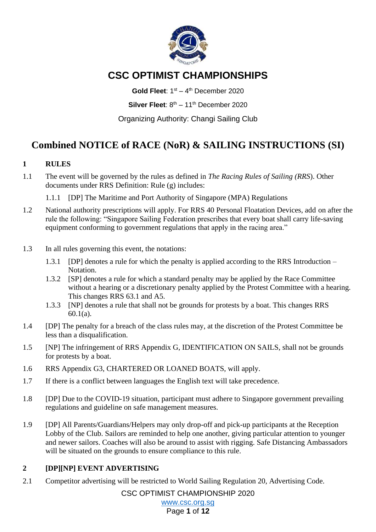

# **CSC OPTIMIST CHAMPIONSHIPS**

Gold Fleet: 1<sup>st</sup> - 4<sup>th</sup> December 2020 Silver Fleet: 8<sup>th</sup> – 11<sup>th</sup> December 2020

Organizing Authority: Changi Sailing Club

# **Combined NOTICE of RACE (NoR) & SAILING INSTRUCTIONS (SI)**

## **1 RULES**

- 1.1 The event will be governed by the rules as defined in *The Racing Rules of Sailing (RRS*). Other documents under RRS Definition: Rule (g) includes:
	- 1.1.1 [DP] The Maritime and Port Authority of Singapore (MPA) Regulations
- 1.2 National authority prescriptions will apply. For RRS 40 Personal Floatation Devices, add on after the rule the following: "Singapore Sailing Federation prescribes that every boat shall carry life-saving equipment conforming to government regulations that apply in the racing area."
- 1.3 In all rules governing this event, the notations:
	- 1.3.1 [DP] denotes a rule for which the penalty is applied according to the RRS Introduction Notation.
	- 1.3.2 [SP] denotes a rule for which a standard penalty may be applied by the Race Committee without a hearing or a discretionary penalty applied by the Protest Committee with a hearing. This changes RRS 63.1 and A5.
	- 1.3.3 [NP] denotes a rule that shall not be grounds for protests by a boat. This changes RRS 60.1(a).
- 1.4 [DP] The penalty for a breach of the class rules may, at the discretion of the Protest Committee be less than a disqualification.
- 1.5 [NP] The infringement of RRS Appendix G, IDENTIFICATION ON SAILS, shall not be grounds for protests by a boat.
- 1.6 RRS Appendix G3, CHARTERED OR LOANED BOATS, will apply.
- 1.7 If there is a conflict between languages the English text will take precedence.
- 1.8 [DP] Due to the COVID-19 situation, participant must adhere to Singapore government prevailing regulations and guideline on safe management measures.
- 1.9 [DP] All Parents/Guardians/Helpers may only drop-off and pick-up participants at the Reception Lobby of the Club. Sailors are reminded to help one another, giving particular attention to younger and newer sailors. Coaches will also be around to assist with rigging. Safe Distancing Ambassadors will be situated on the grounds to ensure compliance to this rule.

# **2 [DP][NP] EVENT ADVERTISING**

2.1 Competitor advertising will be restricted to World Sailing Regulation 20, Advertising Code.

CSC OPTIMIST CHAMPIONSHIP 2020

[www.csc.org.sg](http://www.csc.org.sg/)

Page **1** of **12**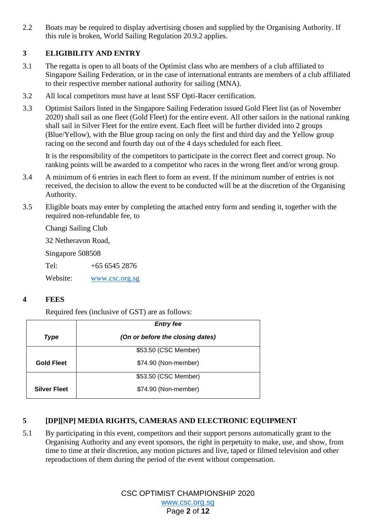2.2 Boats may be required to display advertising chosen and supplied by the Organising Authority. If this rule is broken, World Sailing Regulation 20.9.2 applies.

# **3 ELIGIBILITY AND ENTRY**

- 3.1 The regatta is open to all boats of the Optimist class who are members of a club affiliated to Singapore Sailing Federation, or in the case of international entrants are members of a club affiliated to their respective member national authority for sailing (MNA).
- 3.2 All local competitors must have at least SSF Opti-Racer certification.
- 3.3 Optimist Sailors listed in the Singapore Sailing Federation issued Gold Fleet list (as of November 2020) shall sail as one fleet (Gold Fleet) for the entire event. All other sailors in the national ranking shall sail in Silver Fleet for the entire event. Each fleet will be further divided into 2 groups (Blue/Yellow), with the Blue group racing on only the first and third day and the Yellow group racing on the second and fourth day out of the 4 days scheduled for each fleet.

It is the responsibility of the competitors to participate in the correct fleet and correct group. No ranking points will be awarded to a competitor who races in the wrong fleet and/or wrong group.

- 3.4 A minimum of 6 entries in each fleet to form an event. If the minimum number of entries is not received, the decision to allow the event to be conducted will be at the discretion of the Organising Authority.
- 3.5 Eligible boats may enter by completing the attached entry form and sending it, together with the required non-refundable fee, to

Changi Sailing Club

32 Netheravon Road,

Singapore 508508

Tel: +65 6545 2876

Website: [www.csc.org.sg](http://www.csc.org.sg/)

### **4 FEES**

Required fees (inclusive of GST) are as follows:

|                     | <b>Entry fee</b>                 |  |
|---------------------|----------------------------------|--|
| <b>Type</b>         | (On or before the closing dates) |  |
|                     | \$53.50 (CSC Member)             |  |
| <b>Gold Fleet</b>   | \$74.90 (Non-member)             |  |
|                     | \$53.50 (CSC Member)             |  |
| <b>Silver Fleet</b> | \$74.90 (Non-member)             |  |

## **5 [DP][NP] MEDIA RIGHTS, CAMERAS AND ELECTRONIC EQUIPMENT**

5.1 By participating in this event, competitors and their support persons automatically grant to the Organising Authority and any event sponsors, the right in perpetuity to make, use, and show, from time to time at their discretion, any motion pictures and live, taped or filmed television and other reproductions of them during the period of the event without compensation.

> CSC OPTIMIST CHAMPIONSHIP 2020 [www.csc.org.sg](http://www.csc.org.sg/) Page **2** of **12**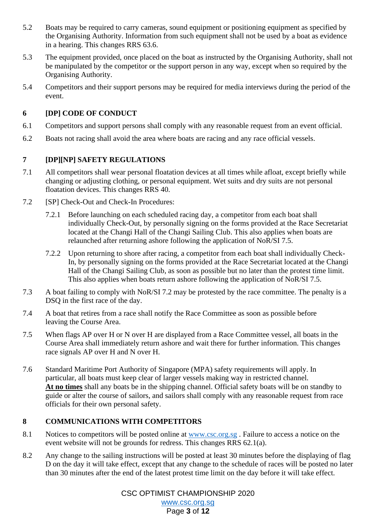- 5.2 Boats may be required to carry cameras, sound equipment or positioning equipment as specified by the Organising Authority. Information from such equipment shall not be used by a boat as evidence in a hearing. This changes RRS 63.6.
- 5.3 The equipment provided, once placed on the boat as instructed by the Organising Authority, shall not be manipulated by the competitor or the support person in any way, except when so required by the Organising Authority.
- 5.4 Competitors and their support persons may be required for media interviews during the period of the event.

## **6 [DP] CODE OF CONDUCT**

- 6.1 Competitors and support persons shall comply with any reasonable request from an event official.
- 6.2 Boats not racing shall avoid the area where boats are racing and any race official vessels.

## **7 [DP][NP] SAFETY REGULATIONS**

- 7.1 All competitors shall wear personal floatation devices at all times while afloat, except briefly while changing or adjusting clothing, or personal equipment. Wet suits and dry suits are not personal floatation devices. This changes RRS 40.
- 7.2 [SP] Check-Out and Check-In Procedures:
	- 7.2.1 Before launching on each scheduled racing day, a competitor from each boat shall individually Check-Out, by personally signing on the forms provided at the Race Secretariat located at the Changi Hall of the Changi Sailing Club. This also applies when boats are relaunched after returning ashore following the application of NoR/SI 7.5.
	- 7.2.2 Upon returning to shore after racing, a competitor from each boat shall individually Check-In, by personally signing on the forms provided at the Race Secretariat located at the Changi Hall of the Changi Sailing Club, as soon as possible but no later than the protest time limit. This also applies when boats return ashore following the application of NoR/SI 7.5.
- 7.3 A boat failing to comply with NoR/SI 7.2 may be protested by the race committee. The penalty is a DSQ in the first race of the day.
- 7.4 A boat that retires from a race shall notify the Race Committee as soon as possible before leaving the Course Area.
- 7.5 When flags AP over H or N over H are displayed from a Race Committee vessel, all boats in the Course Area shall immediately return ashore and wait there for further information. This changes race signals AP over H and N over H.
- 7.6 Standard Maritime Port Authority of Singapore (MPA) safety requirements will apply. In particular, all boats must keep clear of larger vessels making way in restricted channel. **At no times** shall any boats be in the shipping channel. Official safety boats will be on standby to guide or alter the course of sailors, and sailors shall comply with any reasonable request from race officials for their own personal safety.

## **8 COMMUNICATIONS WITH COMPETITORS**

- 8.1 Notices to competitors will be posted online at [www.csc.org.sg](http://www.csc.org.sg/) . Failure to access a notice on the event website will not be grounds for redress. This changes RRS 62.1(a).
- 8.2 Any change to the sailing instructions will be posted at least 30 minutes before the displaying of flag D on the day it will take effect, except that any change to the schedule of races will be posted no later than 30 minutes after the end of the latest protest time limit on the day before it will take effect.

CSC OPTIMIST CHAMPIONSHIP 2020 [www.csc.org.sg](http://www.csc.org.sg/) Page **3** of **12**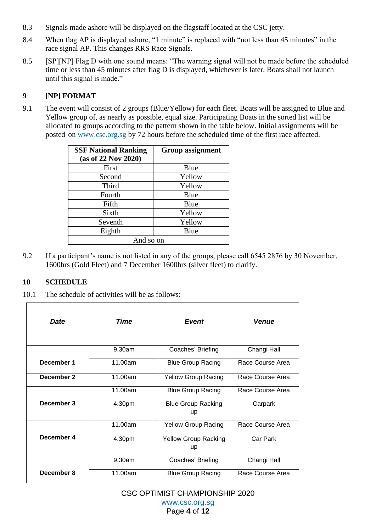- 8.3 Signals made ashore will be displayed on the flagstaff located at the CSC jetty.
- 8.4 When flag AP is displayed ashore, "1 minute" is replaced with "not less than 45 minutes" in the race signal AP. This changes RRS Race Signals.
- 8.5 [SP][NP] Flag D with one sound means: "The warning signal will not be made before the scheduled time or less than 45 minutes after flag D is displayed, whichever is later. Boats shall not launch until this signal is made."

# **9 [NP] FORMAT**

9.1 The event will consist of 2 groups (Blue/Yellow) for each fleet. Boats will be assigned to Blue and Yellow group of, as nearly as possible, equal size. Participating Boats in the sorted list will be allocated to groups according to the pattern shown in the table below. Initial assignments will be posted on [www.csc.org.sg](http://www.csc.org.sg/) by 72 hours before the scheduled time of the first race affected.

| <b>SSF National Ranking</b><br>(as of 22 Nov 2020) | <b>Group assignment</b> |  |
|----------------------------------------------------|-------------------------|--|
|                                                    |                         |  |
| First                                              | Blue                    |  |
| Second                                             | Yellow                  |  |
| Third                                              | Yellow                  |  |
| Fourth                                             | Blue                    |  |
| Fifth                                              | Blue                    |  |
| Sixth                                              | Yellow                  |  |
| Seventh                                            | Yellow                  |  |
| Eighth                                             | Blue                    |  |
| And so on                                          |                         |  |

9.2 If a participant's name is not listed in any of the groups, please call 6545 2876 by 30 November, 1600hrs (Gold Fleet) and 7 December 1600hrs (silver fleet) to clarify.

## **10 SCHEDULE**

10.1 The schedule of activities will be as follows:

| <b>Date</b> | Time    | <b>Event</b>                      | <b>Venue</b>     |
|-------------|---------|-----------------------------------|------------------|
|             | 9.30am  | Coaches' Briefing                 | Changi Hall      |
| December 1  | 11.00am | <b>Blue Group Racing</b>          | Race Course Area |
| December 2  | 11.00am | <b>Yellow Group Racing</b>        | Race Course Area |
|             | 11.00am | <b>Blue Group Racing</b>          | Race Course Area |
| December 3  | 4.30pm  | <b>Blue Group Racking</b><br>up   | Carpark          |
|             | 11.00am | <b>Yellow Group Racing</b>        | Race Course Area |
| December 4  | 4.30pm  | <b>Yellow Group Racking</b><br>up | Car Park         |
|             | 9.30am  | Coaches' Briefing                 | Changi Hall      |
| December 8  | 11.00am | <b>Blue Group Racing</b>          | Race Course Area |

CSC OPTIMIST CHAMPIONSHIP 2020

[www.csc.org.sg](http://www.csc.org.sg/) Page **4** of **12**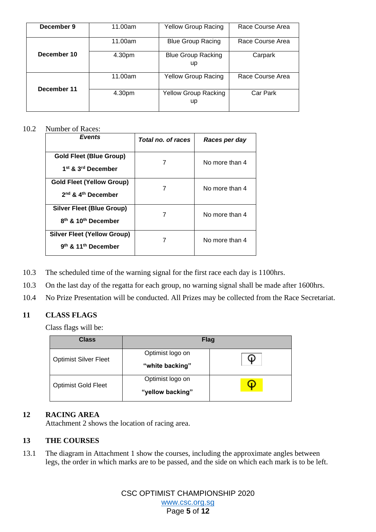| December 9  | 11.00am | <b>Yellow Group Racing</b>        | Race Course Area |
|-------------|---------|-----------------------------------|------------------|
|             | 11.00am | <b>Blue Group Racing</b>          | Race Course Area |
| December 10 | 4.30pm  | <b>Blue Group Racking</b><br>up   | Carpark          |
| December 11 | 11.00am | <b>Yellow Group Racing</b>        | Race Course Area |
|             | 4.30pm  | <b>Yellow Group Racking</b><br>up | Car Park         |

#### 10.2 Number of Races:

| <b>Events</b>                                                            | Total no. of races | Races per day  |
|--------------------------------------------------------------------------|--------------------|----------------|
| Gold Fleet (Blue Group)<br>1 <sup>st</sup> & 3 <sup>rd</sup> December    |                    | No more than 4 |
| <b>Gold Fleet (Yellow Group)</b><br>$2nd$ & $4th$ December               |                    | No more than 4 |
| Silver Fleet (Blue Group)<br>8 <sup>th</sup> & 10 <sup>th</sup> December |                    | No more than 4 |
| <b>Silver Fleet (Yellow Group)</b><br>9th & 11th December                |                    | No more than 4 |

- 10.3 The scheduled time of the warning signal for the first race each day is 1100hrs.
- 10.3 On the last day of the regatta for each group, no warning signal shall be made after 1600hrs.
- 10.4 No Prize Presentation will be conducted. All Prizes may be collected from the Race Secretariat.

### **11 CLASS FLAGS**

Class flags will be:

| <b>Class</b>                 | <b>Flag</b>      |  |
|------------------------------|------------------|--|
| <b>Optimist Silver Fleet</b> | Optimist logo on |  |
|                              | "white backing"  |  |
| <b>Optimist Gold Fleet</b>   | Optimist logo on |  |
|                              | "yellow backing" |  |

### **12 RACING AREA**

Attachment 2 shows the location of racing area.

## **13 THE COURSES**

13.1 The diagram in Attachment 1 show the courses, including the approximate angles between legs, the order in which marks are to be passed, and the side on which each mark is to be left.

> CSC OPTIMIST CHAMPIONSHIP 2020 [www.csc.org.sg](http://www.csc.org.sg/) Page **5** of **12**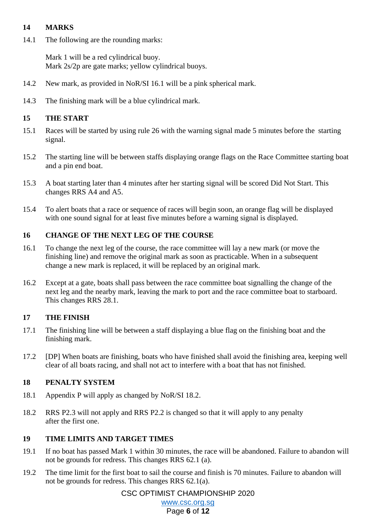### **14 MARKS**

14.1 The following are the rounding marks:

Mark 1 will be a red cylindrical buoy. Mark 2s/2p are gate marks; yellow cylindrical buoys.

- 14.2 New mark, as provided in NoR/SI 16.1 will be a pink spherical mark.
- 14.3 The finishing mark will be a blue cylindrical mark.

### **15 THE START**

- 15.1 Races will be started by using rule 26 with the warning signal made 5 minutes before the starting signal.
- 15.2 The starting line will be between staffs displaying orange flags on the Race Committee starting boat and a pin end boat.
- 15.3 A boat starting later than 4 minutes after her starting signal will be scored Did Not Start. This changes RRS A4 and A5.
- 15.4 To alert boats that a race or sequence of races will begin soon, an orange flag will be displayed with one sound signal for at least five minutes before a warning signal is displayed.

#### **16 CHANGE OF THE NEXT LEG OF THE COURSE**

- 16.1 To change the next leg of the course, the race committee will lay a new mark (or move the finishing line) and remove the original mark as soon as practicable. When in a subsequent change a new mark is replaced, it will be replaced by an original mark.
- 16.2 Except at a gate, boats shall pass between the race committee boat signalling the change of the next leg and the nearby mark, leaving the mark to port and the race committee boat to starboard. This changes RRS 28.1.

### **17 THE FINISH**

- 17.1 The finishing line will be between a staff displaying a blue flag on the finishing boat and the finishing mark.
- 17.2 [DP] When boats are finishing, boats who have finished shall avoid the finishing area, keeping well clear of all boats racing, and shall not act to interfere with a boat that has not finished.

#### **18 PENALTY SYSTEM**

- 18.1 Appendix P will apply as changed by NoR/SI 18.2.
- 18.2 RRS P2.3 will not apply and RRS P2.2 is changed so that it will apply to any penalty after the first one.

### **19 TIME LIMITS AND TARGET TIMES**

- 19.1 If no boat has passed Mark 1 within 30 minutes, the race will be abandoned. Failure to abandon will not be grounds for redress. This changes RRS 62.1 (a).
- 19.2 The time limit for the first boat to sail the course and finish is 70 minutes. Failure to abandon will not be grounds for redress. This changes RRS 62.1(a).

CSC OPTIMIST CHAMPIONSHIP 2020

[www.csc.org.sg](http://www.csc.org.sg/) Page **6** of **12**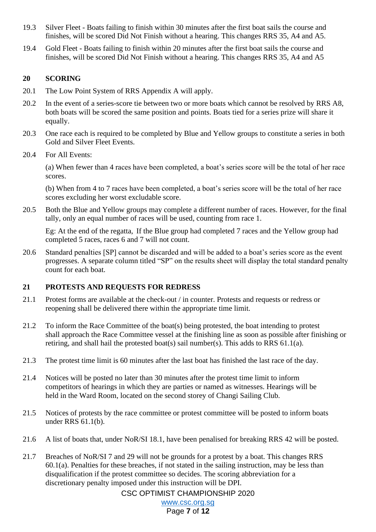- 19.3 Silver Fleet Boats failing to finish within 30 minutes after the first boat sails the course and finishes, will be scored Did Not Finish without a hearing. This changes RRS 35, A4 and A5.
- 19.4 Gold Fleet Boats failing to finish within 20 minutes after the first boat sails the course and finishes, will be scored Did Not Finish without a hearing. This changes RRS 35, A4 and A5

## **20 SCORING**

- 20.1 The Low Point System of RRS Appendix A will apply.
- 20.2 In the event of a series-score tie between two or more boats which cannot be resolved by RRS A8, both boats will be scored the same position and points. Boats tied for a series prize will share it equally.
- 20.3 One race each is required to be completed by Blue and Yellow groups to constitute a series in both Gold and Silver Fleet Events.
- 20.4 For All Events:

(a) When fewer than 4 races have been completed, a boat's series score will be the total of her race scores.

(b) When from 4 to 7 races have been completed, a boat's series score will be the total of her race scores excluding her worst excludable score.

20.5 Both the Blue and Yellow groups may complete a different number of races. However, for the final tally, only an equal number of races will be used, counting from race 1.

Eg: At the end of the regatta, If the Blue group had completed 7 races and the Yellow group had completed 5 races, races 6 and 7 will not count.

20.6 Standard penalties [SP] cannot be discarded and will be added to a boat's series score as the event progresses. A separate column titled "SP" on the results sheet will display the total standard penalty count for each boat.

### **21 PROTESTS AND REQUESTS FOR REDRESS**

- 21.1 Protest forms are available at the check-out / in counter. Protests and requests or redress or reopening shall be delivered there within the appropriate time limit.
- 21.2 To inform the Race Committee of the boat(s) being protested, the boat intending to protest shall approach the Race Committee vessel at the finishing line as soon as possible after finishing or retiring, and shall hail the protested boat(s) sail number(s). This adds to RRS 61.1(a).
- 21.3 The protest time limit is 60 minutes after the last boat has finished the last race of the day.
- 21.4 Notices will be posted no later than 30 minutes after the protest time limit to inform competitors of hearings in which they are parties or named as witnesses. Hearings will be held in the Ward Room, located on the second storey of Changi Sailing Club.
- 21.5 Notices of protests by the race committee or protest committee will be posted to inform boats under RRS 61.1(b).
- 21.6 A list of boats that, under NoR/SI 18.1, have been penalised for breaking RRS 42 will be posted.
- 21.7 Breaches of NoR/SI 7 and 29 will not be grounds for a protest by a boat. This changes RRS 60.1(a). Penalties for these breaches, if not stated in the sailing instruction, may be less than disqualification if the protest committee so decides. The scoring abbreviation for a discretionary penalty imposed under this instruction will be DPI.

CSC OPTIMIST CHAMPIONSHIP 2020

[www.csc.org.sg](http://www.csc.org.sg/)

## Page **7** of **12**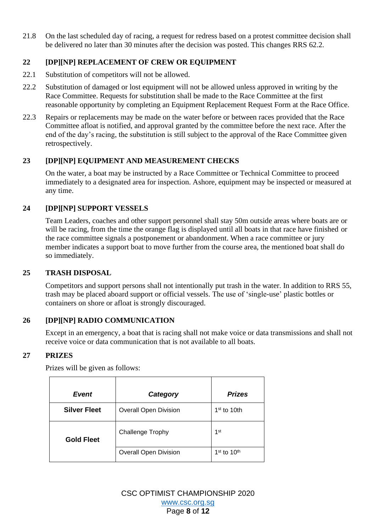21.8 On the last scheduled day of racing, a request for redress based on a protest committee decision shall be delivered no later than 30 minutes after the decision was posted. This changes RRS 62.2.

## **22 [DP][NP] REPLACEMENT OF CREW OR EQUIPMENT**

- 22.1 Substitution of competitors will not be allowed.
- 22.2 Substitution of damaged or lost equipment will not be allowed unless approved in writing by the Race Committee. Requests for substitution shall be made to the Race Committee at the first reasonable opportunity by completing an Equipment Replacement Request Form at the Race Office.
- 22.3 Repairs or replacements may be made on the water before or between races provided that the Race Committee afloat is notified, and approval granted by the committee before the next race. After the end of the day's racing, the substitution is still subject to the approval of the Race Committee given retrospectively.

## **23 [DP][NP] EQUIPMENT AND MEASUREMENT CHECKS**

On the water, a boat may be instructed by a Race Committee or Technical Committee to proceed immediately to a designated area for inspection. Ashore, equipment may be inspected or measured at any time.

## **24 [DP][NP] SUPPORT VESSELS**

Team Leaders, coaches and other support personnel shall stay 50m outside areas where boats are or will be racing, from the time the orange flag is displayed until all boats in that race have finished or the race committee signals a postponement or abandonment. When a race committee or jury member indicates a support boat to move further from the course area, the mentioned boat shall do so immediately.

### **25 TRASH DISPOSAL**

Competitors and support persons shall not intentionally put trash in the water. In addition to RRS 55, trash may be placed aboard support or official vessels. The use of 'single-use' plastic bottles or containers on shore or afloat is strongly discouraged.

## **26 [DP][NP] RADIO COMMUNICATION**

Except in an emergency, a boat that is racing shall not make voice or data transmissions and shall not receive voice or data communication that is not available to all boats.

### **27 PRIZES**

| Event               | Category                     | <b>Prizes</b>   |
|---------------------|------------------------------|-----------------|
| <b>Silver Fleet</b> | <b>Overall Open Division</b> | $1st$ to 10th   |
| <b>Gold Fleet</b>   | <b>Challenge Trophy</b>      | 1 <sup>st</sup> |
|                     | <b>Overall Open Division</b> | $1st$ to $10th$ |

Prizes will be given as follows:

CSC OPTIMIST CHAMPIONSHIP 2020 [www.csc.org.sg](http://www.csc.org.sg/) Page **8** of **12**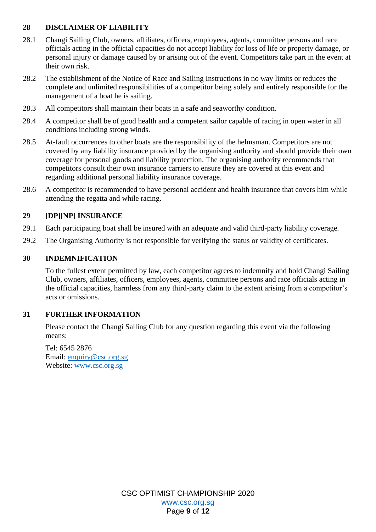## **28 DISCLAIMER OF LIABILITY**

- 28.1 Changi Sailing Club, owners, affiliates, officers, employees, agents, committee persons and race officials acting in the official capacities do not accept liability for loss of life or property damage, or personal injury or damage caused by or arising out of the event. Competitors take part in the event at their own risk.
- 28.2 The establishment of the Notice of Race and Sailing Instructions in no way limits or reduces the complete and unlimited responsibilities of a competitor being solely and entirely responsible for the management of a boat he is sailing.
- 28.3 All competitors shall maintain their boats in a safe and seaworthy condition.
- 28.4 A competitor shall be of good health and a competent sailor capable of racing in open water in all conditions including strong winds.
- 28.5 At-fault occurrences to other boats are the responsibility of the helmsman. Competitors are not covered by any liability insurance provided by the organising authority and should provide their own coverage for personal goods and liability protection. The organising authority recommends that competitors consult their own insurance carriers to ensure they are covered at this event and regarding additional personal liability insurance coverage.
- 28.6 A competitor is recommended to have personal accident and health insurance that covers him while attending the regatta and while racing.

### **29 [DP][NP] INSURANCE**

- 29.1 Each participating boat shall be insured with an adequate and valid third-party liability coverage.
- 29.2 The Organising Authority is not responsible for verifying the status or validity of certificates.

#### **30 INDEMNIFICATION**

To the fullest extent permitted by law, each competitor agrees to indemnify and hold Changi Sailing Club, owners, affiliates, officers, employees, agents, committee persons and race officials acting in the official capacities, harmless from any third-party claim to the extent arising from a competitor's acts or omissions.

### **31 FURTHER INFORMATION**

Please contact the Changi Sailing Club for any question regarding this event via the following means:

Tel: 6545 2876 Email: [enquiry@csc.org.sg](mailto:enquiry@csc.org.sg) Website: [www.csc.org.sg](http://www.csc.org.sg/)

> CSC OPTIMIST CHAMPIONSHIP 2020 [www.csc.org.sg](http://www.csc.org.sg/) Page **9** of **12**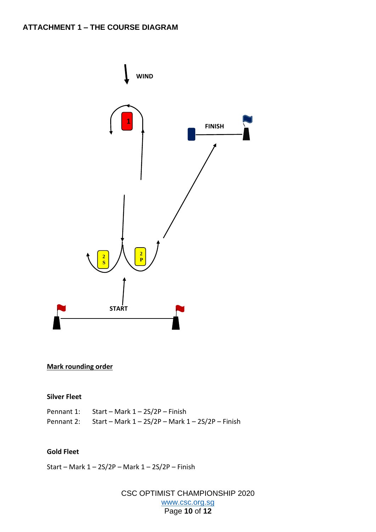

## **Mark rounding order**

#### **Silver Fleet**

| Pennant 1: Start – Mark $1 - 2S/2P$ – Finish                    |
|-----------------------------------------------------------------|
| Pennant 2: Start – Mark $1 - 2S/2P$ – Mark $1 - 2S/2P$ – Finish |

#### **Gold Fleet**

Start – Mark 1 – 2S/2P – Mark 1 – 2S/2P – Finish

CSC OPTIMIST CHAMPIONSHIP 2020 [www.csc.org.sg](http://www.csc.org.sg/) Page **10** of **12**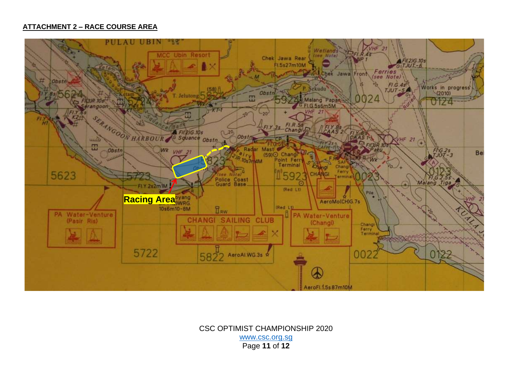#### **ATTACHMENT 2 – RACE COURSE AREA**



CSC OPTIMIST CHAMPIONSHIP 2020 [www.csc.org.sg](http://www.csc.org.sg/) Page **11** of **12**